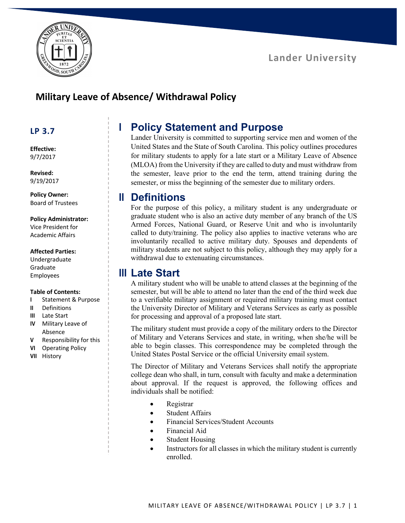

## **Military Leave of Absence/ Withdrawal Policy**

### **LP 3.7**

#### **Effective:** 9/7/2017

**Revised:** 9/19/2017

**Policy Owner:** Board of Trustees

#### **Policy Administrator:**

Vice President for Academic Affairs

#### **Affected Parties:**

Undergraduate Graduate Employees

#### **Table of Contents:**

- **I** Statement & Purpose
- **II** Definitions
- **III** Late Start
- **IV** Military Leave of Absence
- **V** Responsibility for this
- **VI** Operating Policy
- **VII** History

# **I Policy Statement and Purpose**

Lander University is committed to supporting service men and women of the United States and the State of South Carolina. This policy outlines procedures for military students to apply for a late start or a Military Leave of Absence (MLOA) from the University if they are called to duty and must withdraw from the semester, leave prior to the end the term, attend training during the semester, or miss the beginning of the semester due to military orders.

### **II Definitions**

For the purpose of this policy, a military student is any undergraduate or graduate student who is also an active duty member of any branch of the US Armed Forces, National Guard, or Reserve Unit and who is involuntarily called to duty/training. The policy also applies to inactive veterans who are involuntarily recalled to active military duty. Spouses and dependents of military students are not subject to this policy, although they may apply for a withdrawal due to extenuating circumstances.

### **III Late Start**

A military student who will be unable to attend classes at the beginning of the semester, but will be able to attend no later than the end of the third week due to a verifiable military assignment or required military training must contact the University Director of Military and Veterans Services as early as possible for processing and approval of a proposed late start.

The military student must provide a copy of the military orders to the Director of Military and Veterans Services and state, in writing, when she/he will be able to begin classes. This correspondence may be completed through the United States Postal Service or the official University email system.

The Director of Military and Veterans Services shall notify the appropriate college dean who shall, in turn, consult with faculty and make a determination about approval. If the request is approved, the following offices and individuals shall be notified:

- Registrar
- Student Affairs
- Financial Services/Student Accounts
- Financial Aid
- **Student Housing**
- Instructors for all classes in which the military student is currently enrolled.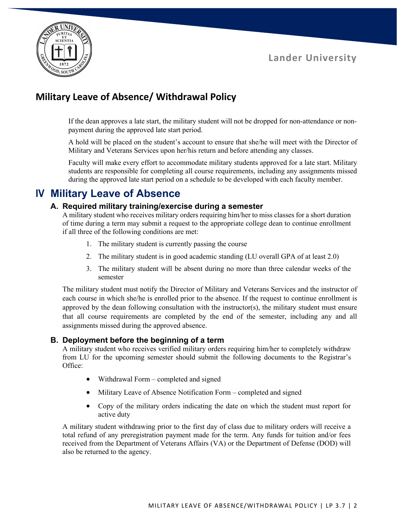

# **Military Leave of Absence/ Withdrawal Policy**

If the dean approves a late start, the military student will not be dropped for non-attendance or nonpayment during the approved late start period.

A hold will be placed on the student's account to ensure that she/he will meet with the Director of Military and Veterans Services upon her/his return and before attending any classes.

Faculty will make every effort to accommodate military students approved for a late start. Military students are responsible for completing all course requirements, including any assignments missed during the approved late start period on a schedule to be developed with each faculty member.

### **IV Military Leave of Absence**

#### **A. Required military training/exercise during a semester**

A military student who receives military orders requiring him/her to miss classes for a short duration of time during a term may submit a request to the appropriate college dean to continue enrollment if all three of the following conditions are met:

- 1. The military student is currently passing the course
- 2. The military student is in good academic standing (LU overall GPA of at least 2.0)
- 3. The military student will be absent during no more than three calendar weeks of the semester

The military student must notify the Director of Military and Veterans Services and the instructor of each course in which she/he is enrolled prior to the absence. If the request to continue enrollment is approved by the dean following consultation with the instructor(s), the military student must ensure that all course requirements are completed by the end of the semester, including any and all assignments missed during the approved absence.

#### **B. Deployment before the beginning of a term**

A military student who receives verified military orders requiring him/her to completely withdraw from LU for the upcoming semester should submit the following documents to the Registrar's Office:

- Withdrawal Form completed and signed
- Military Leave of Absence Notification Form completed and signed
- Copy of the military orders indicating the date on which the student must report for active duty

A military student withdrawing prior to the first day of class due to military orders will receive a total refund of any preregistration payment made for the term. Any funds for tuition and/or fees received from the Department of Veterans Affairs (VA) or the Department of Defense (DOD) will also be returned to the agency.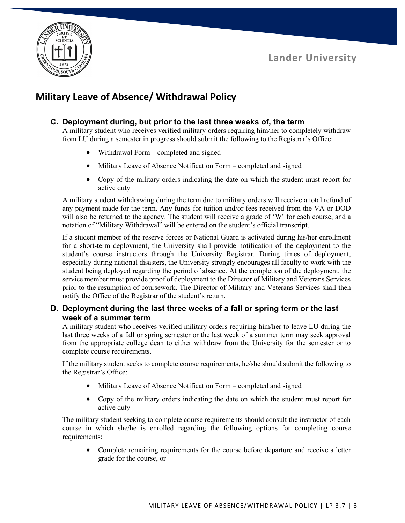



# **Military Leave of Absence/ Withdrawal Policy**

#### **C. Deployment during, but prior to the last three weeks of, the term**

A military student who receives verified military orders requiring him/her to completely withdraw from LU during a semester in progress should submit the following to the Registrar's Office:

- Withdrawal Form completed and signed
- Military Leave of Absence Notification Form completed and signed
- Copy of the military orders indicating the date on which the student must report for active duty

A military student withdrawing during the term due to military orders will receive a total refund of any payment made for the term. Any funds for tuition and/or fees received from the VA or DOD will also be returned to the agency. The student will receive a grade of 'W' for each course, and a notation of "Military Withdrawal" will be entered on the student's official transcript.

If a student member of the reserve forces or National Guard is activated during his/her enrollment for a short-term deployment, the University shall provide notification of the deployment to the student's course instructors through the University Registrar. During times of deployment, especially during national disasters, the University strongly encourages all faculty to work with the student being deployed regarding the period of absence. At the completion of the deployment, the service member must provide proof of deployment to the Director of Military and Veterans Services prior to the resumption of coursework. The Director of Military and Veterans Services shall then notify the Office of the Registrar of the student's return.

#### **D. Deployment during the last three weeks of a fall or spring term or the last week of a summer term**

A military student who receives verified military orders requiring him/her to leave LU during the last three weeks of a fall or spring semester or the last week of a summer term may seek approval from the appropriate college dean to either withdraw from the University for the semester or to complete course requirements.

If the military student seeks to complete course requirements, he/she should submit the following to the Registrar's Office:

- Military Leave of Absence Notification Form completed and signed
- Copy of the military orders indicating the date on which the student must report for active duty

The military student seeking to complete course requirements should consult the instructor of each course in which she/he is enrolled regarding the following options for completing course requirements:

• Complete remaining requirements for the course before departure and receive a letter grade for the course, or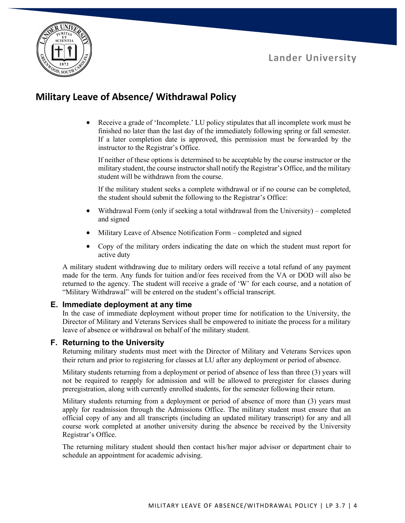

## **Military Leave of Absence/ Withdrawal Policy**

• Receive a grade of 'Incomplete.' LU policy stipulates that all incomplete work must be finished no later than the last day of the immediately following spring or fall semester. If a later completion date is approved, this permission must be forwarded by the instructor to the Registrar's Office.

If neither of these options is determined to be acceptable by the course instructor or the military student, the course instructor shall notify the Registrar's Office, and the military student will be withdrawn from the course.

If the military student seeks a complete withdrawal or if no course can be completed, the student should submit the following to the Registrar's Office:

- Withdrawal Form (only if seeking a total withdrawal from the University) completed and signed
- Military Leave of Absence Notification Form completed and signed
- Copy of the military orders indicating the date on which the student must report for active duty

A military student withdrawing due to military orders will receive a total refund of any payment made for the term. Any funds for tuition and/or fees received from the VA or DOD will also be returned to the agency. The student will receive a grade of 'W' for each course, and a notation of "Military Withdrawal" will be entered on the student's official transcript.

#### **E. Immediate deployment at any time**

In the case of immediate deployment without proper time for notification to the University, the Director of Military and Veterans Services shall be empowered to initiate the process for a military leave of absence or withdrawal on behalf of the military student.

#### **F. Returning to the University**

Returning military students must meet with the Director of Military and Veterans Services upon their return and prior to registering for classes at LU after any deployment or period of absence.

Military students returning from a deployment or period of absence of less than three (3) years will not be required to reapply for admission and will be allowed to preregister for classes during preregistration, along with currently enrolled students, for the semester following their return.

Military students returning from a deployment or period of absence of more than (3) years must apply for readmission through the Admissions Office. The military student must ensure that an official copy of any and all transcripts (including an updated military transcript) for any and all course work completed at another university during the absence be received by the University Registrar's Office.

The returning military student should then contact his/her major advisor or department chair to schedule an appointment for academic advising.